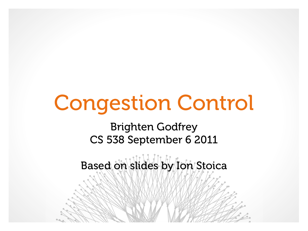# Congestion Control

Brighten Godfrey CS 538 September 6 2011

Based on slides by Ion Stoica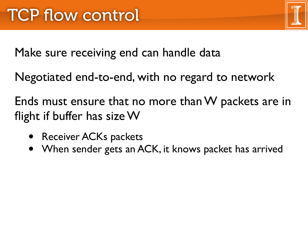

Make sure receiving end can handle data

Negotiated end-to-end, with no regard to network

Ends must ensure that no more than W packets are in flight if buffer has size W

- Receiver ACKs packets
- When sender gets an ACK, it knows packet has arrived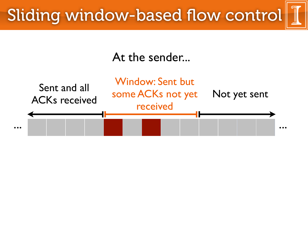

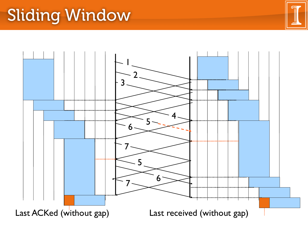### Sliding Window

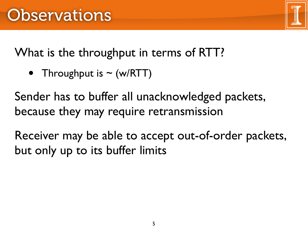What is the throughput in terms of RTT?

• Throughput is  $\sim$  (w/RTT)

Sender has to buffer all unacknowledged packets, because they may require retransmission

Receiver may be able to accept out-of-order packets, but only up to its buffer limits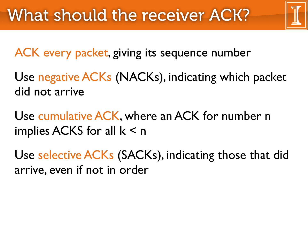ACK every packet, giving its sequence number

Use negative ACKs (NACKs), indicating which packet did not arrive

Use cumulative ACK, where an ACK for number n implies ACKS for all  $k < n$ 

Use selective ACKs (SACKs), indicating those that did arrive, even if not in order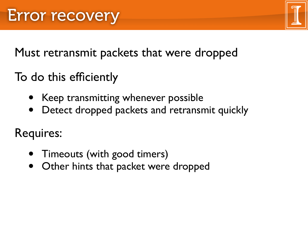Must retransmit packets that were dropped

- To do this efficiently
	- Keep transmitting whenever possible
	- Detect dropped packets and retransmit quickly

Requires:

- Timeouts (with good timers)
- Other hints that packet were dropped

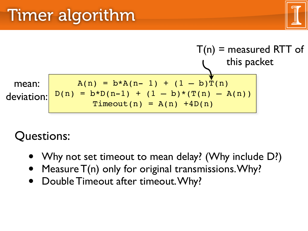

#### Questions:

- Why not set timeout to mean delay? (Why include D?)
- Measure  $T(n)$  only for original transmissions. Why?
- Double Timeout after timeout. Why?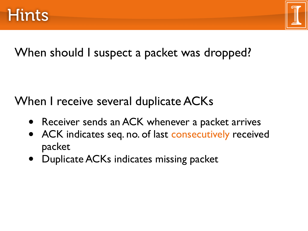

#### When should I suspect a packet was dropped?

When I receive several duplicate ACKs

- Receiver sends an ACK whenever a packet arrives
- ACK indicates seq. no. of last consecutively received packet
- Duplicate ACKs indicates missing packet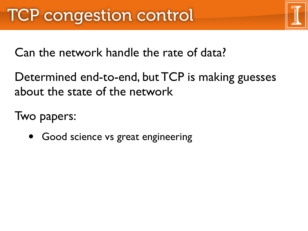Can the network handle the rate of data?

Determined end-to-end, but TCP is making guesses about the state of the network

Two papers:

• Good science vs great engineering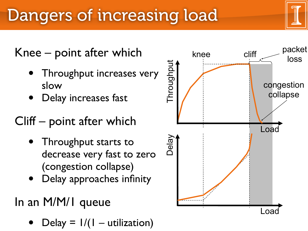# Dangers of increasing load

# Knee – point after which<br>• Throughput increases very

- slow
- Delay increases fast

### Cliff – point after which

- Throughput starts to decrease very fast to zero (congestion collapse)
- Delay approaches infinity

### In an M/M/1 queue

 $Delay = 1/(1 - utilization)$ 

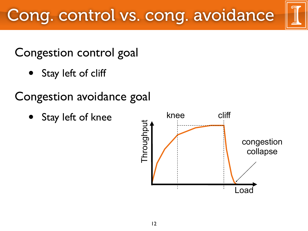#### Congestion control goal

- Stay left of cliff
- Congestion avoidance goal
	- Stay left of knee

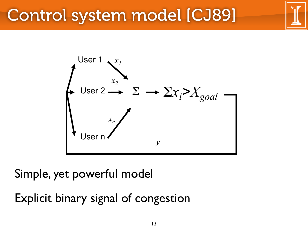### Control system model [CJ89]



Simple, yet powerful model

Explicit binary signal of congestion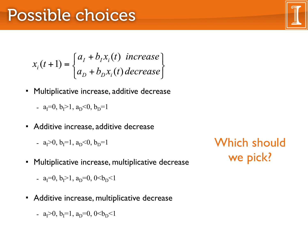$$
x_i(t+1) = \begin{cases} a_i + b_i x_i(t) & \text{increase} \\ a_i + b_i x_i(t) & \text{decrease} \end{cases}
$$

- **Multiplicative increase, additive decrease** 
	- $a_I=0, b_I>1, a_D<0, b_D=1$
- **Additive increase, additive decrease** 
	- $a_1>0$ ,  $b_1=1$ ,  $a_0<0$ ,  $b_0=1$
- **Multiplicative increase, multiplicative decrease** 
	- $a_{\rm I} = 0$ ,  $b_{\rm I} > 1$ ,  $a_{\rm D} = 0$ ,  $0 < b_{\rm D} < 1$
- **Additive increase, multiplicative decrease** 
	- $a_1>0$ ,  $b_1=1$ ,  $a_0=0$ ,  $0$

Which should we pick?

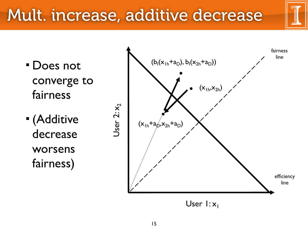### Mult. increase, additive decrease

- converge to fairness
- (Additive decrease worsens fairness)

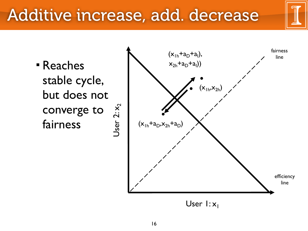### Additive increase, add. decrease

)) Reaches stable cycle, but does not converge to fairness

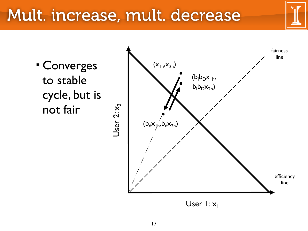### Mult. increase, mult. decrease

 Converges to stable cycle, but is not fair

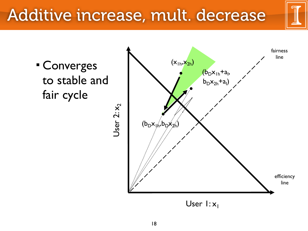### Additive increase, mult. decrease

 Converges to stable and fair cycle

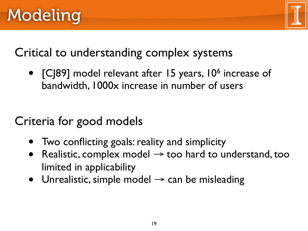

#### Critical to understanding complex systems

• [CJ89] model relevant after 15 years, 10<sup>6</sup> increase of bandwidth, 1000x increase in number of users

### Criteria for good models

- Two conflicting goals: reality and simplicity
- Realistic, complex model  $\rightarrow$  too hard to understand, too limited in applicability
- Unrealistic, simple model  $\rightarrow$  can be misleading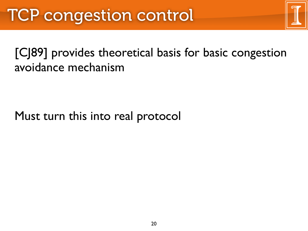#### [CJ89] provides theoretical basis for basic congestion avoidance mechanism

#### Must turn this into real protocol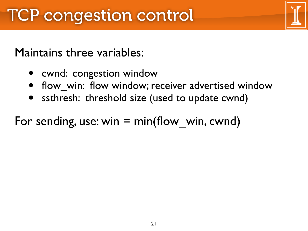#### Maintains three variables:

- cwnd: congestion window
- flow win: flow window; receiver advertised window
- ssthresh: threshold size (used to update cwnd)

#### For sending, use: win  $=$  min(flow win, cwnd)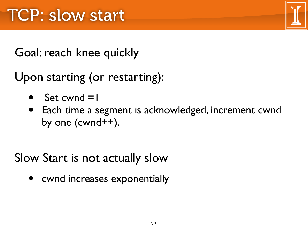Goal: reach knee quickly

Upon starting (or restarting):

- Set cwnd  $=$   $\vert$
- Each time a segment is acknowledged, increment cwnd by one (cwnd++).

Slow Start is not actually slow

• cwnd increases exponentially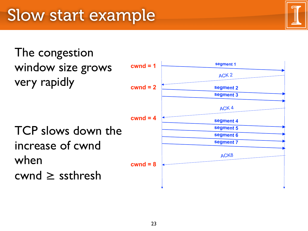The congestion window size grows very rapidly

TCP slows down the increase of cwnd when cwnd ≥ ssthresh

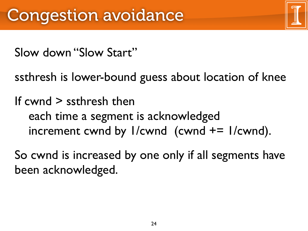Slow down "Slow Start"

ssthresh is lower-bound guess about location of knee

If cwnd > ssthresh then each time a segment is acknowledged increment cwnd by  $1/cwnd$  (cwnd  $+= 1/cwnd$ ).

So cwnd is increased by one only if all segments have been acknowledged.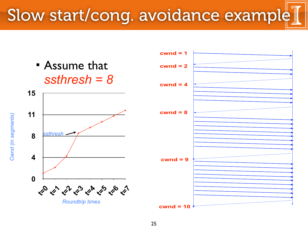### Slow start/cong. avoidance example

 Assume that *ssthresh = 8*



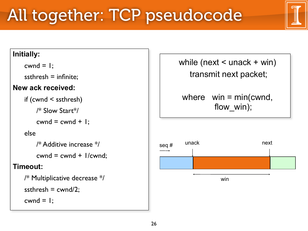## All together: TCP pseudocode

#### **Initially:**

 $cwnd = 1$ ;

ssthresh  $=$  infinite;

#### **New ack received:**

```
if (cwnd < ssthresh)
```

```
 /* Slow Start*/
```

```
cwnd = cwnd + I;
```
#### else

```
 /* Additive increase */
```

```
cwnd = cwnd + l/cwnd;
```
#### **Timeout:**

```
/* Multiplicative decrease */
ssthresh = cwnd/2;
cwnd = 1;
```
while (next  $\leq$  unack  $+$  win) transmit next packet; where  $win = min(cwnd,$ flow win);

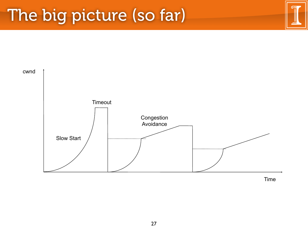### The big picture (so far)

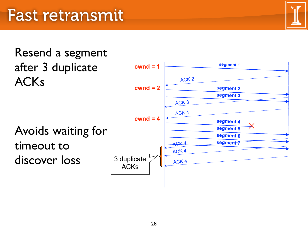

### Resend a segment after 3 duplicate ACKs

Avoids waiting for timeout to discover loss

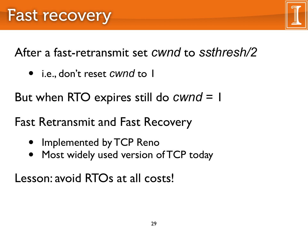After a fast-retransmit set *cwnd* to *ssthresh/2*

• i.e., don't reset *cwnd* to 1

But when RTO expires still do *cwnd* = 1

Fast Retransmit and Fast Recovery

- Implemented by TCP Reno
- Most widely used version of TCP today

Lesson: avoid RTOs at all costs!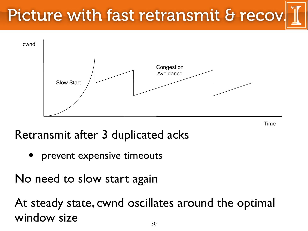# Picture with fast retransmit & recov



Time

Retransmit after 3 duplicated acks

prevent expensive timeouts

No need to slow start again

At steady state, cwnd oscillates around the optimal window size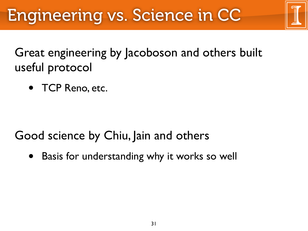Great engineering by Jacoboson and others built useful protocol

• TCP Reno, etc.

Good science by Chiu, Jain and others

• Basis for understanding why it works so well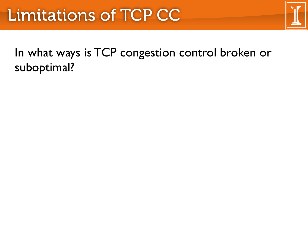In what ways is TCP congestion control broken or suboptimal?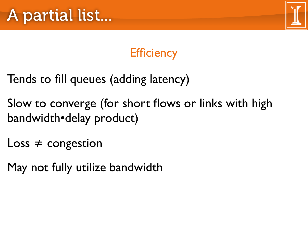



- Tends to fill queues (adding latency)
- Slow to converge (for short flows or links with high bandwidth•delay product)
- $Loss \neq congestion$
- May not fully utilize bandwidth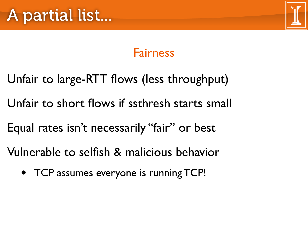

### Fairness

- Unfair to large-RTT flows (less throughput)
- Unfair to short flows if ssthresh starts small
- Equal rates isn't necessarily "fair" or best
- Vulnerable to selfish & malicious behavior
	- TCP assumes everyone is running TCP!